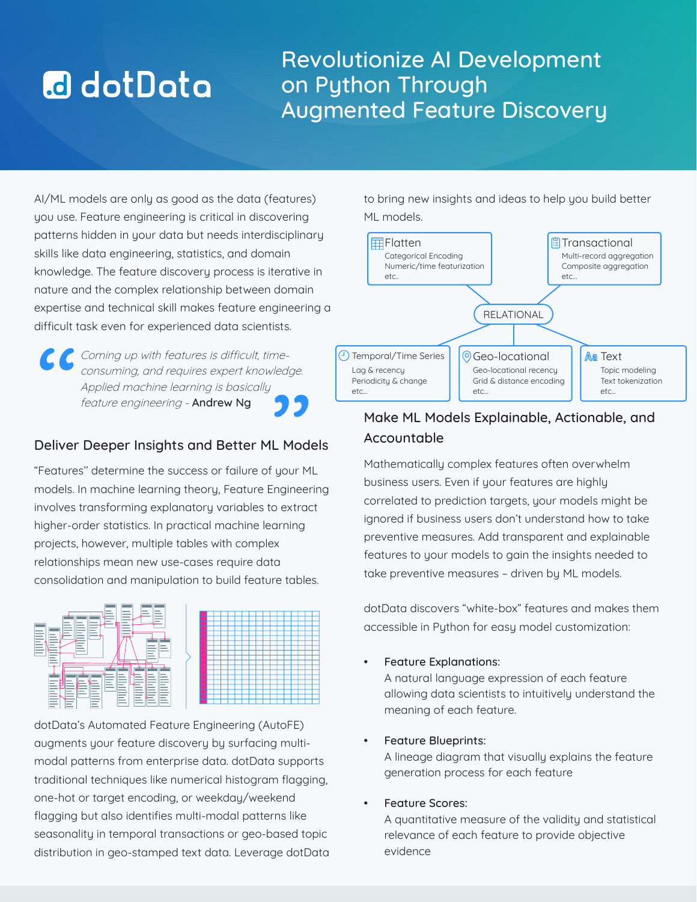# **a** dotData

# Revolutionize AI Development on Python Through Augmented Feature Discovery

AI/ML models are only as good as the data (features) you use. Feature engineering is critical in discovering patterns hidden in your data but needs interdisciplinary skills like data engineering, statistics, and domain knowledge. The feature discovery process is iterative in nature and the complex relationship between domain expertise and technical skill makes feature engineering a difficult task even for experienced data scientists.

Coming up with features is difficult, timeconsuming, and requires expert knowledge. Applied machine learning is basically feature engineering - Andrew Ng

# Deliver Deeper Insights and Better ML Models

"Features'' determine the success or failure of your ML models. In machine learning theory, Feature Engineering involves transforming explanatory variables to extract higher-order statistics. In practical machine learning projects, however, multiple tables with complex relationships mean new use-cases require data consolidation and manipulation to build feature tables.



dotData's Automated Feature Engineering (AutoFE) augments your feature discovery by surfacing multimodal patterns from enterprise data. dotData supports traditional techniques like numerical histogram flagging, one-hot or target encoding, or weekday/weekend flagging but also identifies multi-modal patterns like seasonality in temporal transactions or geo-based topic distribution in geo-stamped text data. Leverage dotData to bring new insights and ideas to help you build better ML models.



# Make ML Models Explainable, Actionable, and Accountable

Mathematically complex features often overwhelm business users. Even if your features are highly correlated to prediction targets, your models might be ignored if business users don't understand how to take preventive measures. Add transparent and explainable features to your models to gain the insights needed to take preventive measures – driven by ML models.

dotData discovers "white-box" features and makes them accessible in Python for easy model customization:

Feature Explanations:

A natural language expression of each feature allowing data scientists to intuitively understand the meaning of each feature.

• Feature Blueprints:

A lineage diagram that visually explains the feature generation process for each feature

**Feature Scores:** 

A quantitative measure of the validity and statistical relevance of each feature to provide objective evidence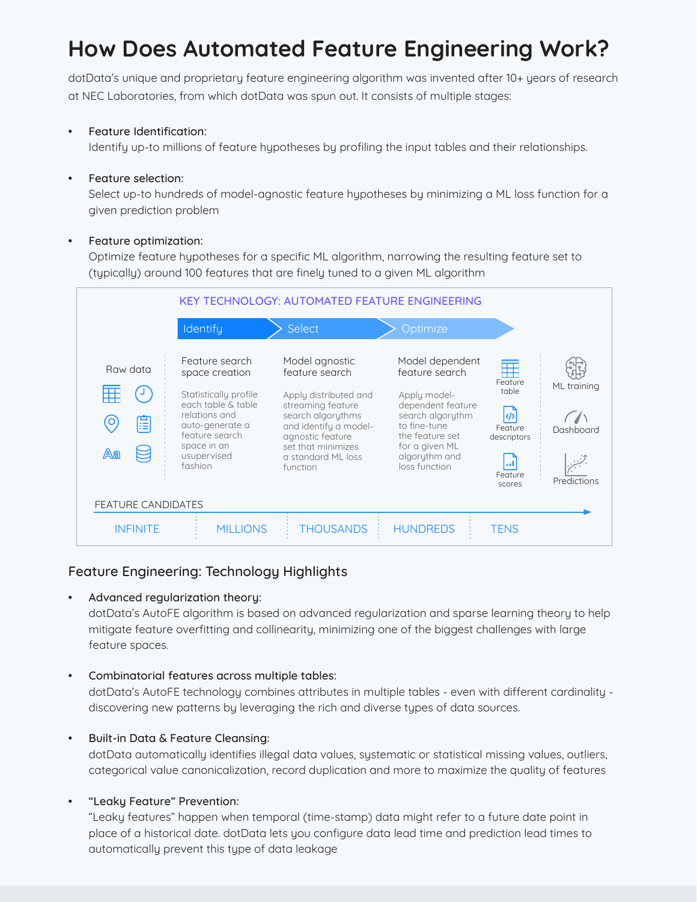# **How Does Automated Feature Engineering Work?**

dotData's unique and proprietary feature engineering algorithm was invented after 10+ years of research at NEC Laboratories, from which dotData was spun out. It consists of multiple stages:

## • Feature Identification:

Identify up-to millions of feature hypotheses by profiling the input tables and their relationships.

#### • Feature selection:

Select up-to hundreds of model-agnostic feature hypotheses by minimizing a ML loss function for a given prediction problem

### Feature optimization:

Optimize feature hypotheses for a specific ML algorithm, narrowing the resulting feature set to (typically) around 100 features that are finely tuned to a given ML algorithm



# Feature Engineering: Technology Highlights

# • Advanced regularization theory:

dotData's AutoFE algorithm is based on advanced regularization and sparse learning theory to help mitigate feature overfitting and collinearity, minimizing one of the biggest challenges with large feature spaces.

# • Combinatorial features across multiple tables:

dotData's AutoFE technology combines attributes in multiple tables - even with different cardinality discovering new patterns by leveraging the rich and diverse types of data sources.

# • Built-in Data & Feature Cleansing:

dotData automatically identifies illegal data values, systematic or statistical missing values, outliers, categorical value canonicalization, record duplication and more to maximize the quality of features

# • "Leaky Feature" Prevention:

"Leaky features" happen when temporal (time-stamp) data might refer to a future date point in place of a historical date. dotData lets you configure data lead time and prediction lead times to automatically prevent this type of data leakage